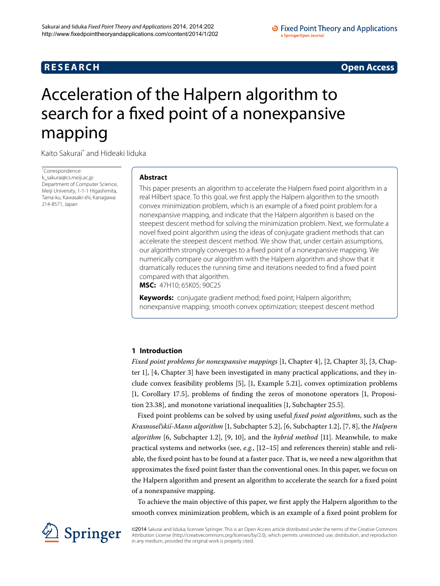## **R E S E A R C H Open Access**

# <span id="page-0-0"></span>Acceleration of the Halpern algorithm to search for a fixed point of a nonexpansive mapping

Kaito Sakura[i\\*](#page-0-0) and Hideaki Iiduka

\* Correspondence: [k\\_sakurai@cs.meiji.ac.jp](mailto:k_sakurai@cs.meiji.ac.jp) Department of Computer Science, Meiji University, 1-1-1 Higashimita, Tama-ku, Kawasaki-shi, Kanagawa 214-8571, Japan

#### **Abstract**

This paper presents an algorithm to accelerate the Halpern fixed point algorithm in a real Hilbert space. To this goal, we first apply the Halpern algorithm to the smooth convex minimization problem, which is an example of a fixed point problem for a nonexpansive mapping, and indicate that the Halpern algorithm is based on the steepest descent method for solving the minimization problem. Next, we formulate a novel fixed point algorithm using the ideas of conjugate gradient methods that can accelerate the steepest descent method. We show that, under certain assumptions, our algorithm strongly converges to a fixed point of a nonexpansive mapping. We numerically compare our algorithm with the Halpern algorithm and show that it dramatically reduces the running time and iterations needed to find a fixed point compared with that algorithm.

<span id="page-0-1"></span>**MSC:** 47H10; 65K05; 90C25

**Keywords:** conjugate gradient method; fixed point; Halpern algorithm; nonexpansive mapping; smooth convex optimization; steepest descent method

### **1 Introduction**

*Fixed point problems for nonexpansive mappings* [1[,](#page-10-1) Chapter 4], [\[](#page-10-2)2, Chapter 3], [3, Chapter 1,  $[4, Chapter 3]$  have been investigated in many practical applications, and they in-clude convex feasibility problems [\[](#page-10-0)5], [1, Example 5.21], convex optimization problems [1[,](#page-10-0) Corollary 17.5], problems of finding the zeros of monotone operators [1, Proposition 23.38], and monotone variational inequalities  $[1,$  $[1,$  Subchapter 25.5].

Fixed point problems can be solved by using useful *fixed point algorithms*, such as the *Krasnosel'skiĭ-Mann algorithm* [\[](#page-10-6)1, Subchapter 5.2[\]](#page-10-7), [6, Subchapter 1.2], [7, 8], the *Halpern algorithm* [6[,](#page-10-8) Subchapter 1.2], [\[](#page-10-10)9, 10], and the *hybrid method* [11]. Meanwhile, to make practical systems and networks (see, e.g., [\[](#page-10-11)12-15] and references therein) stable and reliable, the fixed point has to be found at a faster pace. That is, we need a new algorithm that approximates the fixed point faster than the conventional ones. In this paper, we focus on the Halpern algorithm and present an algorithm to accelerate the search for a fixed point of a nonexpansive mapping.

To achieve the main objective of this paper, we first apply the Halpern algorithm to the smooth convex minimization problem, which is an example of a fixed point problem for



©2014 Sakurai and liduka; licensee Springer. This is an Open Access article distributed under the terms of the Creative Commons Attribution License [\(http://creativecommons.org/licenses/by/2.0](http://creativecommons.org/licenses/by/2.0)), which permits unrestricted use, distribution, and reproduction in any medium, provided the original work is properly cited.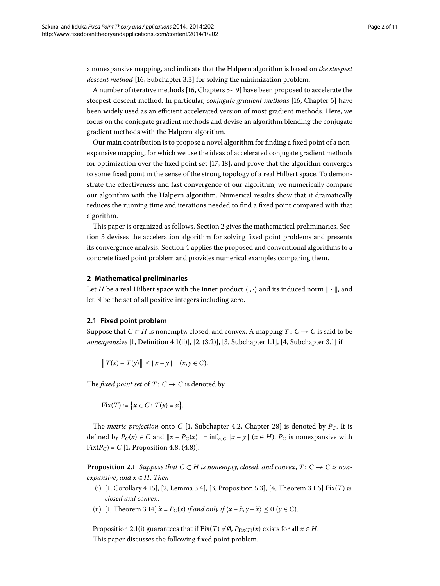a nonexpansive mapping, and indicate that the Halpern algorithm is based on *the steepest* descent method [16[,](#page-10-13) Subchapter 3.3] for solving the minimization problem.

A number of iterative methods [16[,](#page-10-13) Chapters 5-19] have been proposed to accelerate the steepest descent method. In particular[,](#page-10-13) *conjugate gradient methods* [16, Chapter 5] have been widely used as an efficient accelerated version of most gradient methods. Here, we focus on the conjugate gradient methods and devise an algorithm blending the conjugate gradient methods with the Halpern algorithm.

Our main contribution is to propose a novel algorithm for finding a fixed point of a nonexpansive mapping, for which we use the ideas of accelerated conjugate gradient methods for optimization over the fixed point set  $[17, 18]$ , and prove that the algorithm converges to some fixed point in the sense of the strong topology of a real Hilbert space. To demonstrate the effectiveness and fast convergence of our algorithm, we numerically compare our algorithm with the Halpern algorithm. Numerical results show that it dramatically reduces the running time and iterations needed to find a fixed point compared with that algorithm.

<span id="page-1-0"></span>This paper is organized as follows. Section 2 gives the mathematical preliminaries. Section 3 devises the acceleration algorithm for solving fixed point problems and presents its convergence analysis. Section 4 applies the proposed and conventional algorithms to a concrete fixed point problem and provides numerical examples comparing them.

#### **2 Mathematical preliminaries**

Let *H* be a real Hilbert space with the inner product  $\langle \cdot, \cdot \rangle$  and its induced norm  $\|\cdot\|$ , and let N be the set of all positive integers including zero.

#### **2.1 Fixed point problem**

Suppose that  $C \subset H$  is nonempty, closed, and convex. A mapping  $T: C \to C$  is said to be *nonexpansive* [1[,](#page-10-2) Definition 4.1(ii)], [\[](#page-10-3)2, (3.2)], [3, Subchapter 1.1], [4, Subchapter 3.1] if

$$
||T(x) - T(y)|| \le ||x - y||
$$
  $(x, y \in C).$ 

The *fixed point set* of  $T: C \rightarrow C$  is denoted by

<span id="page-1-1"></span>Fix
$$
(T)
$$
 := { $x \in C$ :  $T(x) = x$  }.

The *metric projection* onto *C* [\[](#page-10-0)1, Subchapter 4.2, Chapter 28] is denoted by  $P_C$ . It is defined by  $P_C(x) \in C$  and  $||x - P_C(x)|| = \inf_{y \in C} ||x - y||$  ( $x \in H$ ).  $P_C$  is nonexpansive with  $Fix(P_C) = C$  [\[](#page-10-0)1, Proposition 4.8, (4.8)].

**Proposition 2.1** Suppose that  $C \subset H$  is nonempty, closed, and convex,  $T: C \rightarrow C$  is non*expansive, and*  $x \in H$ *. Then* 

- (i)  $[1,$  $[1,$  Corollary 4.15,  $[2,$  Lemma 3.4,  $[3,$  Proposition 5.3,  $[4,$  Theorem 3.1.6  $Fix(T)$  *is closed and convex*.
- (ii) [\[](#page-10-0)1, Theorem 3.14]  $\hat{x} = P_C(x)$  *if and only if*  $\langle x \hat{x}, y \hat{x} \rangle \le 0$  ( $y \in C$ ).

Proposition 2.1(i) guarantees that if Fix(*T*)  $\neq$  Ø,  $P_{Fix(T)}(x)$  exists for all  $x \in H$ . This paper discusses the following fixed point problem.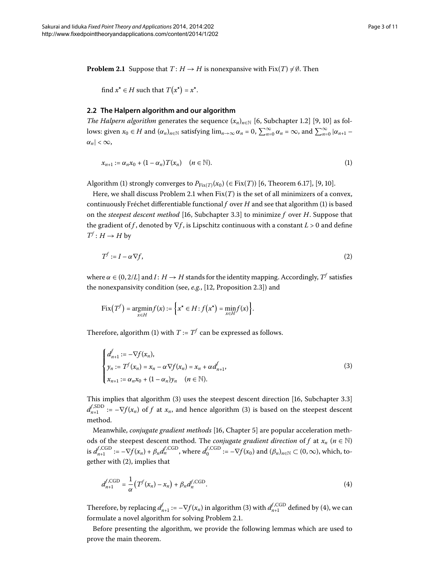<span id="page-2-1"></span>**Problem 2.1** Suppose that  $T: H \to H$  is nonexpansive with  $Fix(T) \neq \emptyset$ . Then

<span id="page-2-0"></span>find  $x^* \in H$  such that  $T(x^*) = x^*$ .

#### **2.2 The Halpern algorithm and our algorithm**

*The Halpern algorithm* generates the sequence  $(x_n)_{n\in\mathbb{N}}$  [6[,](#page-10-8) Subchapter 1.2] [9, 10] as follows: given  $x_0 \in H$  and  $(\alpha_n)_{n \in \mathbb{N}}$  satisfying  $\lim_{n \to \infty} \alpha_n = 0$ ,  $\sum_{n=0}^{\infty} \alpha_n = \infty$ , and  $\sum_{n=0}^{\infty} |\alpha_{n+1} - \alpha_n|$  $\alpha_n$ | < ∞,

<span id="page-2-3"></span>
$$
x_{n+1} := \alpha_n x_0 + (1 - \alpha_n) T(x_n) \quad (n \in \mathbb{N}).
$$
 (1)

Algorithm (1[\)](#page-2-0) strongly converges to  $P_{Fix(T)}(x_0)$  ( $\in Fix(T)$ ) [\[](#page-10-8)6, Theorem 6.17], [9, 10].

Here, we shall discuss Problem 2[.](#page-2-1)1 when  $Fix(T)$  is the set of all minimizers of a convex, continuously Fréchet differentiable functional  $f$  over  $H$  and see that algorithm [\(](#page-2-0)1) is based on the *steepest descent method* [16, Subchapter 3.3] to minimize *f* over *H*. Suppose that the gradient of *f*, denoted by  $\nabla f$ , is Lipschitz continuous with a constant  $L > 0$  and define  $T^f: H \to H$  by

$$
T^f := I - \alpha \nabla f,\tag{2}
$$

where  $\alpha \in (0, 2/L]$  and  $I: H \rightarrow H$  stands for the identity mapping. Accordingly,  $T^f$  satisfies the nonexpansivity condition (see, e.g., [12, Proposition 2.3]) and

<span id="page-2-2"></span>
$$
Fix(T^f) = \underset{x \in H}{\text{argmin}} f(x) := \Big\{ x^\star \in H : f(x^\star) = \underset{x \in H}{\text{min}} f(x) \Big\}.
$$

Therefore, algorithm [\(](#page-2-0)1) with  $T := T^f$  can be expressed as follows.

$$
\begin{cases}\nd_{n+1}^{f} := -\nabla f(x_n), \\
y_n := T^f(x_n) = x_n - \alpha \nabla f(x_n) = x_n + \alpha d_{n+1}^f, \\
x_{n+1} := \alpha_n x_0 + (1 - \alpha_n) y_n \quad (n \in \mathbb{N}).\n\end{cases}
$$
\n(3)

This implies that algorithm  $(3)$  $(3)$  uses the steepest descent direction  $[16,$  $[16,$  Subchapter 3.3]  $d_{n+1}^{f,\text{SDD}} := -\nabla f(x_n)$  $d_{n+1}^{f,\text{SDD}} := -\nabla f(x_n)$  of *f* at  $x_n$ , and hence algorithm (3) is based on the steepest descent method.

Meanwhile, *conjugate gradient methods* [\[](#page-10-13)16, Chapter 5] are popular acceleration methods of the steepest descent method. The *conjugate gradient direction* of *f* at  $x_n$  ( $n \in \mathbb{N}$ ) is  $d_{n+1}^{f, \text{CGD}} := -\nabla f(x_n) + \beta_n d_n^{f, \text{CGD}}$ , where  $d_0^{f, \text{CGD}} := -\nabla f(x_0)$  and  $(\beta_n)_{n \in \mathbb{N}} \subset (0, \infty)$ , which, to-gether with [\(](#page-2-3)2), implies that

<span id="page-2-4"></span>
$$
d_{n+1}^{f, \text{CGD}} = \frac{1}{\alpha} \left( T^f(x_n) - x_n \right) + \beta_n d_n^{f, \text{CGD}}.
$$
\n
$$
(4)
$$

Therefore, by replacing  $d_{n+1}^f := -\nabla f(x_n)$  $d_{n+1}^f := -\nabla f(x_n)$  $d_{n+1}^f := -\nabla f(x_n)$  in algorithm (3) with  $d_{n+1}^{f,\text{CGD}}$  defined by (4), we can formulate a novel algorithm for solving Problem 2.1.

Before presenting the algorithm, we provide the following lemmas which are used to prove the main theorem.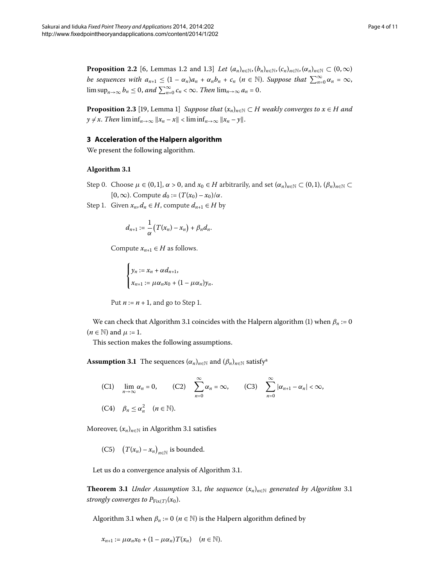<span id="page-3-5"></span><span id="page-3-4"></span><span id="page-3-0"></span>**Proposition 2.2** [6[,](#page-10-5) Lemmas 1.2 and 1.3] *Let*  $(a_n)_{n \in \mathbb{N}}$ ,  $(b_n)_{n \in \mathbb{N}}$ ,  $(c_n)_{n \in \mathbb{N}}$ ,  $(\alpha_n)_{n \in \mathbb{N}} \subset (0, \infty)$ *be sequences with*  $a_{n+1} \leq (1 - \alpha_n)a_n + \alpha_n b_n + c_n$  *(* $n \in \mathbb{N}$ *). Suppose that*  $\sum_{n=0}^{\infty} \alpha_n = \infty$ ,  $\limsup_{n\to\infty} b_n \leq 0$ , and  $\sum_{n=0}^{\infty} c_n < \infty$ . *Then*  $\lim_{n\to\infty} a_n = 0$ .

<span id="page-3-1"></span>**Proposition 2.3** [\[](#page-10-16)19, Lemma 1] *Suppose that*  $(x_n)_{n \in \mathbb{N}} \subset H$  weakly converges to  $x \in H$  and  $y \neq x$ . *Then*  $\liminf_{n\to\infty} ||x_n - x|| < \liminf_{n\to\infty} ||x_n - y||$ .

#### **3 Acceleration of the Halpern algorithm**

We present the following algorithm.

#### **Algorithm 3.1**

- Step 0. Choose  $\mu \in (0,1], \alpha > 0$ , and  $x_0 \in H$  arbitrarily, and set  $(\alpha_n)_{n \in \mathbb{N}} \subset (0,1), (\beta_n)_{n \in \mathbb{N}} \subset$  $[0, \infty)$ . Compute  $d_0 := (T(x_0) - x_0)/\alpha$ .
- Step 1. Given  $x_n, d_n \in H$ , compute  $d_{n+1} \in H$  by

$$
d_{n+1}:=\frac{1}{\alpha}\big(T(x_n)-x_n\big)+\beta_nd_n.
$$

Compute  $x_{n+1} \in H$  as follows.

$$
\begin{cases} y_n := x_n + \alpha d_{n+1}, \\ x_{n+1} := \mu \alpha_n x_0 + (1 - \mu \alpha_n) y_n. \end{cases}
$$

<span id="page-3-2"></span>Put 
$$
n := n + 1
$$
, and go to Step 1.

We can check that Algorithm 3[.](#page-3-1)1 coincides with the Halpern algorithm [\(](#page-2-0)1) when  $\beta_n := 0$  $(n \in \mathbb{N})$  and  $\mu := 1$ .

This section makes the following assumptions.

**Assumption 3.1** The sequences  $(\alpha_n)_{n \in \mathbb{N}}$  and  $(\beta_n)_{n \in \mathbb{N}}$  satisfy<sup>a</sup>

(C1) 
$$
\lim_{n \to \infty} \alpha_n = 0
$$
, (C2)  $\sum_{n=0}^{\infty} \alpha_n = \infty$ , (C3)  $\sum_{n=0}^{\infty} |\alpha_{n+1} - \alpha_n| < \infty$ ,  
(C4)  $\beta_n \le \alpha_n^2$   $(n \in \mathbb{N})$ .

<span id="page-3-3"></span>Moreover,  $(x_n)_{n \in \mathbb{N}}$  in Algorithm 3[.](#page-3-1)1 satisfies

(C5)  $(T(x_n) - x_n)_{n \in \mathbb{N}}$  is bounded.

Let us do a convergence analysis of Algorithm 3[.](#page-3-1)1.

**Theorem 3[.](#page-3-1)1** *Under Assumption* 3.1, *the sequence*  $(x_n)_{n \in \mathbb{N}}$  *generated by Algorithm* 3.1 *strongly converges to*  $P_{\text{Fix}(T)}(x_0)$ .

Algorithm 3[.](#page-3-1)1 when  $\beta_n := 0$  ( $n \in \mathbb{N}$ ) is the Halpern algorithm defined by

$$
x_{n+1} := \mu \alpha_n x_0 + (1 - \mu \alpha_n) T(x_n) \quad (n \in \mathbb{N}).
$$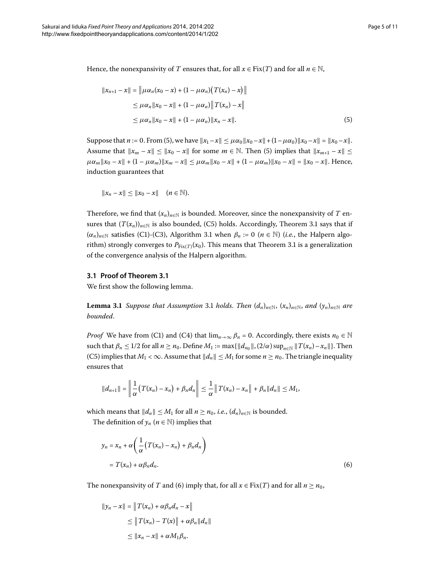Hence, the nonexpansivity of *T* ensures that, for all  $x \in Fix(T)$  and for all  $n \in \mathbb{N}$ ,

<span id="page-4-0"></span>
$$
||x_{n+1} - x|| = ||\mu \alpha_n (x_0 - x) + (1 - \mu \alpha_n) (T(x_n) - x)||
$$
  
\n
$$
\leq \mu \alpha_n ||x_0 - x|| + (1 - \mu \alpha_n) ||T(x_n) - x||
$$
  
\n
$$
\leq \mu \alpha_n ||x_0 - x|| + (1 - \mu \alpha_n) ||x_n - x||.
$$
\n(5)

Suppose that  $n := 0$ . From (5[\)](#page-4-0), we have  $||x_1 - x|| \le \mu \alpha_0 ||x_0 - x|| + (1 - \mu \alpha_0) ||x_0 - x|| = ||x_0 - x||$ . Assume that  $||x_m - x|| \le ||x_0 - x||$  for some  $m \in \mathbb{N}$ . Then [\(](#page-4-0)5) implies that  $||x_{m+1} - x|| \le$  $\mu\alpha_m \|x_0 - x\| + (1 - \mu\alpha_m) \|x_m - x\| \leq \mu\alpha_m \|x_0 - x\| + (1 - \mu\alpha_m) \|x_0 - x\| = \|x_0 - x\|.$  Hence, induction guarantees that

$$
||x_n - x|| \le ||x_0 - x|| \quad (n \in \mathbb{N}).
$$

Therefore, we find that  $(x_n)_{n\in\mathbb{N}}$  is bounded. Moreover, since the nonexpansivity of *T* ensures that  $(T(x_n))_{n\in\mathbb{N}}$  is also bounded, (C5) holds[.](#page-3-3) Accordingly, Theorem 3.1 says that if  $(\alpha_n)_{n \in \mathbb{N}}$  satisfies (C1)-(C3), Algorithm 3[.](#page-3-1)1 when  $\beta_n := 0$  ( $n \in \mathbb{N}$ ) (*i.e.*, the Halpern algorithm) strongly converges to  $P_{Fix(T)}(x_0)$ [.](#page-3-3) This means that Theorem 3.1 is a generalization of the convergence analysis of the Halpern algorithm.

#### **3.1 Proof of Theorem [3.1](#page-3-3)**

We first show the following lemma.

**Lemma 3[.](#page-3-2)1** Suppose that Assumption 3.1 holds. Then  $(d_n)_{n \in \mathbb{N}}$ ,  $(x_n)_{n \in \mathbb{N}}$ , and  $(y_n)_{n \in \mathbb{N}}$  are *bounded*.

*Proof* We have from (C1) and (C4) that  $\lim_{n\to\infty} \beta_n = 0$ . Accordingly, there exists  $n_0 \in \mathbb{N}$ such that  $\beta_n \leq 1/2$  for all  $n \geq n_0$ . Define  $M_1 := \max\{\|d_{n_0}\|, (2/\alpha) \sup_{n \in \mathbb{N}} \|T(x_n) - x_n\|\}.$  Then (C5) implies that  $M_1 < \infty$ . Assume that  $||d_n|| \leq M_1$  for some  $n \geq n_0$ . The triangle inequality ensures that

<span id="page-4-1"></span>
$$
||d_{n+1}|| = \left\|\frac{1}{\alpha}(T(x_n) - x_n) + \beta_n d_n\right\| \leq \frac{1}{\alpha}\left\|T(x_n) - x_n\right\| + \beta_n||d_n|| \leq M_1,
$$

which means that  $||d_n|| \leq M_1$  for all  $n \geq n_0$ , *i.e.*,  $(d_n)_{n \in \mathbb{N}}$  is bounded.

The definition of  $y_n$  ( $n \in \mathbb{N}$ ) implies that

$$
y_n = x_n + \alpha \left( \frac{1}{\alpha} \left( T(x_n) - x_n \right) + \beta_n d_n \right)
$$
  
= 
$$
T(x_n) + \alpha \beta_n d_n.
$$
 (6)

The nonexpansivity of *T* and (6[\)](#page-4-1) imply that, for all  $x \in Fix(T)$  and for all  $n \ge n_0$ ,

$$
||y_n - x|| = ||T(x_n) + \alpha \beta_n d_n - x||
$$
  
\n
$$
\leq ||T(x_n) - T(x)|| + \alpha \beta_n ||d_n||
$$
  
\n
$$
\leq ||x_n - x|| + \alpha M_1 \beta_n.
$$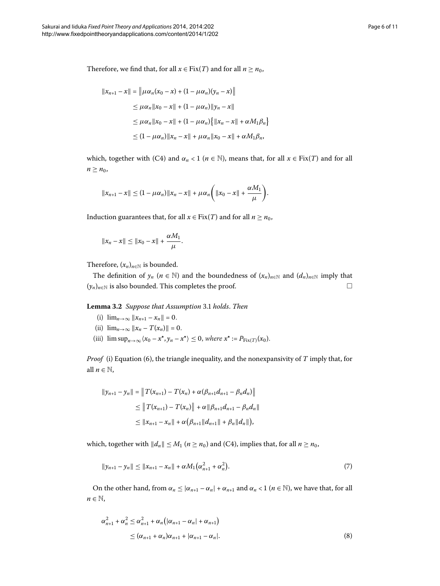Therefore, we find that, for all  $x \in Fix(T)$  and for all  $n \geq n_0$ ,

$$
||x_{n+1} - x|| = ||\mu \alpha_n (x_0 - x) + (1 - \mu \alpha_n)(y_n - x)||
$$
  
\n
$$
\leq \mu \alpha_n ||x_0 - x|| + (1 - \mu \alpha_n) ||y_n - x||
$$
  
\n
$$
\leq \mu \alpha_n ||x_0 - x|| + (1 - \mu \alpha_n) \{ ||x_n - x|| + \alpha M_1 \beta_n \}
$$
  
\n
$$
\leq (1 - \mu \alpha_n) ||x_n - x|| + \mu \alpha_n ||x_0 - x|| + \alpha M_1 \beta_n,
$$

which, together with (C4) and  $\alpha_n < 1$  ( $n \in \mathbb{N}$ ), means that, for all  $x \in Fix(T)$  and for all  $n \geq n_0$ ,

$$
||x_{n+1}-x|| \leq (1-\mu\alpha_n)||x_n-x|| + \mu\alpha_n \bigg(||x_0-x|| + \frac{\alpha M_1}{\mu}\bigg).
$$

<span id="page-5-2"></span>Induction guarantees that, for all  $x \in Fix(T)$  and for all  $n \geq n_0$ ,

$$
||x_n - x|| \le ||x_0 - x|| + \frac{\alpha M_1}{\mu}.
$$

Therefore,  $(x_n)_{n \in \mathbb{N}}$  is bounded.

The definition of  $y_n$  ( $n \in \mathbb{N}$ ) and the boundedness of  $(x_n)_{n \in \mathbb{N}}$  and  $(d_n)_{n \in \mathbb{N}}$  imply that  $(y_n)_{n \in \mathbb{N}}$  is also bounded. This completes the proof.  $\Box$ 

**Lemma .** *Suppose that Assumption* [.](#page-3-2) *holds*. *Then*

- (i)  $\lim_{n\to\infty} ||x_{n+1} x_n|| = 0.$
- (ii)  $\lim_{n\to\infty} ||x_n T(x_n)|| = 0.$
- (iii)  $\limsup_{n\to\infty}$   $\langle x_0 x^*, y_n x^* \rangle \leq 0$ , where  $x^* := P_{\text{Fix}(T)}(x_0)$ .

*Proof* (i) Equation (6), the triangle inequality, and the nonexpansivity of *T* imply that, for all  $n \in \mathbb{N}$ ,

<span id="page-5-0"></span>
$$
||y_{n+1} - y_n|| = ||T(x_{n+1}) - T(x_n) + \alpha(\beta_{n+1}d_{n+1} - \beta_n d_n)||
$$
  
\n
$$
\leq ||T(x_{n+1}) - T(x_n)|| + \alpha||\beta_{n+1}d_{n+1} - \beta_n d_n||
$$
  
\n
$$
\leq ||x_{n+1} - x_n|| + \alpha(\beta_{n+1}||d_{n+1}|| + \beta_n||d_n||),
$$

which, together with  $||d_n|| \le M_1$  ( $n \ge n_0$ ) and (C4), implies that, for all  $n \ge n_0$ ,

<span id="page-5-1"></span>
$$
||y_{n+1} - y_n|| \le ||x_{n+1} - x_n|| + \alpha M_1(\alpha_{n+1}^2 + \alpha_n^2). \tag{7}
$$

On the other hand, from  $\alpha_n \leq |\alpha_{n+1} - \alpha_n| + \alpha_{n+1}$  and  $\alpha_n < 1$  ( $n \in \mathbb{N}$ ), we have that, for all  $n \in \mathbb{N}$ ,

$$
\alpha_{n+1}^{2} + \alpha_{n}^{2} \leq \alpha_{n+1}^{2} + \alpha_{n} (|\alpha_{n+1} - \alpha_{n}| + \alpha_{n+1})
$$
  
 
$$
\leq (\alpha_{n+1} + \alpha_{n})\alpha_{n+1} + |\alpha_{n+1} - \alpha_{n}|.
$$
 (8)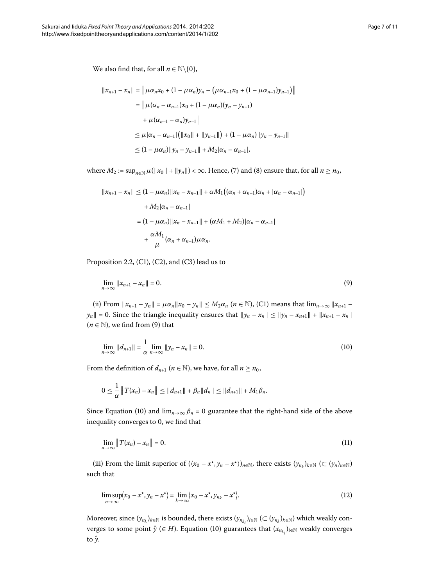$$
||x_{n+1} - x_n|| = ||\mu \alpha_n x_0 + (1 - \mu \alpha_n) y_n - (\mu \alpha_{n-1} x_0 + (1 - \mu \alpha_{n-1}) y_{n-1})||
$$
  
\n
$$
= ||\mu(\alpha_n - \alpha_{n-1}) x_0 + (1 - \mu \alpha_n) (y_n - y_{n-1})
$$
  
\n
$$
+ \mu(\alpha_{n-1} - \alpha_n) y_{n-1}||
$$
  
\n
$$
\leq \mu |\alpha_n - \alpha_{n-1}| (||x_0|| + ||y_{n-1}||) + (1 - \mu \alpha_n) ||y_n - y_{n-1}||
$$
  
\n
$$
\leq (1 - \mu \alpha_n) ||y_n - y_{n-1}|| + M_2 |\alpha_n - \alpha_{n-1}|,
$$

where  $M_2 := \sup_{n \in \mathbb{N}} \mu(||x_0|| + ||y_n||) < \infty$  $M_2 := \sup_{n \in \mathbb{N}} \mu(||x_0|| + ||y_n||) < \infty$  $M_2 := \sup_{n \in \mathbb{N}} \mu(||x_0|| + ||y_n||) < \infty$ . Hence, (7) and (8) ensure that, for all  $n \ge n_0$ ,

<span id="page-6-0"></span>
$$
||x_{n+1} - x_n|| \le (1 - \mu \alpha_n) ||x_n - x_{n-1}|| + \alpha M_1 ((\alpha_n + \alpha_{n-1})\alpha_n + |\alpha_n - \alpha_{n-1}|)
$$
  
+  $M_2 |\alpha_n - \alpha_{n-1}|$   
=  $(1 - \mu \alpha_n) ||x_n - x_{n-1}|| + (\alpha M_1 + M_2) |\alpha_n - \alpha_{n-1}|$   
+  $\frac{\alpha M_1}{\mu} (\alpha_n + \alpha_{n-1}) \mu \alpha_n$ .

Proposition 2.2, (C1), (C2), and (C3) lead us to

<span id="page-6-1"></span>
$$
\lim_{n \to \infty} \|x_{n+1} - x_n\| = 0. \tag{9}
$$

(ii) From  $||x_{n+1} - y_n|| = \mu \alpha_n ||x_0 - y_n|| \le M_2 \alpha_n$  ( $n \in \mathbb{N}$ ), (C1) means that  $\lim_{n \to \infty} ||x_{n+1} - y_n||$ *y<sub>n</sub>*  $|| = 0$ . Since the triangle inequality ensures that  $||y_n - x_n|| \le ||y_n - x_{n+1}|| + ||x_{n+1} - x_n||$  $(n \in \mathbb{N})$  $(n \in \mathbb{N})$ , we find from (9) that

$$
\lim_{n \to \infty} \|d_{n+1}\| = \frac{1}{\alpha} \lim_{n \to \infty} \|y_n - x_n\| = 0.
$$
 (10)

From the definition of  $d_{n+1}$  ( $n \in \mathbb{N}$ ), we have, for all  $n \ge n_0$ ,

<span id="page-6-2"></span>
$$
0 \leq \frac{1}{\alpha} \|T(x_n) - x_n\| \leq \|d_{n+1}\| + \beta_n \|d_n\| \leq \|d_{n+1}\| + M_1 \beta_n.
$$

Since Equation (10[\)](#page-6-1) and  $\lim_{n\to\infty} \beta_n = 0$  guarantee that the right-hand side of the above inequality converges to 0, we find that

<span id="page-6-3"></span>
$$
\lim_{n \to \infty} \|T(x_n) - x_n\| = 0. \tag{11}
$$

(iii) From the limit superior of  $(\langle x_0 - x^*, y_n - x^* \rangle)_{n \in \mathbb{N}}$ , there exists  $(y_{n_k})_{k \in \mathbb{N}}$  ( $\subset (y_n)_{n \in \mathbb{N}}$ ) such that

$$
\limsup_{n \to \infty} \langle x_0 - x^*, y_n - x^* \rangle = \lim_{k \to \infty} \langle x_0 - x^*, y_{n_k} - x^* \rangle.
$$
\n(12)

 $M$ oreover, since  $(y_{n_k})_{k\in\mathbb{N}}$  is bounded, there exists  $(y_{n_{k_i}})_{i\in\mathbb{N}}$  (⊂  $(y_{n_k})_{k\in\mathbb{N}}$ ) which weakly converges to some point  $\hat{y}$  (∈ *H*[\)](#page-6-1). Equation (10) guarantees that  $(x_{n_{k_i}})_{i \in \mathbb{N}}$  weakly converges to *y*ˆ.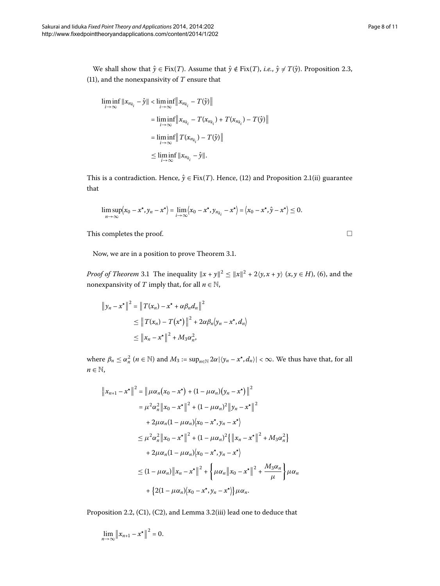We shall show that  $\hat{y} \in Fix(T)$ . Assume that  $\hat{y} \notin Fix(T)$ , *i.e.*,  $\hat{y} \neq T(\hat{y})$ . Proposition 2.3, (11[\)](#page-6-2), and the nonexpansivity of  $T$  ensure that

$$
\liminf_{i \to \infty} ||x_{n_{k_i}} - \hat{y}|| < \liminf_{i \to \infty} ||x_{n_{k_i}} - T(\hat{y})||
$$
\n
$$
= \liminf_{i \to \infty} ||x_{n_{k_i}} - T(x_{n_{k_i}}) + T(x_{n_{k_i}}) - T(\hat{y})||
$$
\n
$$
= \liminf_{i \to \infty} ||T(x_{n_{k_i}}) - T(\hat{y})||
$$
\n
$$
\leq \liminf_{i \to \infty} ||x_{n_{k_i}} - \hat{y}||.
$$

This is a contradiction. Hence,  $\hat{y} \in Fix(T)$  $\hat{y} \in Fix(T)$ . Hence, (12) and Proposition 2.1(ii) guarantee that

$$
\limsup_{n\to\infty}\left\langle x_0-x^{\star},y_n-x^{\star}\right\rangle=\lim_{i\to\infty}\left\langle x_0-x^{\star},y_{n_{k_i}}-x^{\star}\right\rangle=\left\langle x_0-x^{\star},\hat{y}-x^{\star}\right\rangle\leq 0.
$$

This completes the proof.

Now, we are in a position to prove Theorem 3.1.

*Proof of Theorem* 3[.](#page-3-3)1 The inequality  $||x + y||^2 \le ||x||^2 + 2\langle y, x + y \rangle$   $(x, y \in H)$  $(x, y \in H)$ , (6), and the nonexpansivity of *T* imply that, for all  $n \in \mathbb{N}$ ,

$$
\|y_n - x^*\|^2 = \|T(x_n) - x^* + \alpha \beta_n d_n\|^2
$$
  
\n
$$
\leq \|T(x_n) - T(x^*)\|^2 + 2\alpha \beta_n \langle y_n - x^*, d_n \rangle
$$
  
\n
$$
\leq \|x_n - x^*\|^2 + M_3 \alpha_n^2,
$$

where  $\beta_n \le \alpha_n^2$   $(n \in \mathbb{N})$  and  $M_3 := \sup_{n \in \mathbb{N}} 2\alpha |\langle y_n - x^*, d_n \rangle| < \infty$ . We thus have that, for all  $n \in \mathbb{N}$ ,

$$
||x_{n+1} - x^*||^2 = ||\mu \alpha_n (x_0 - x^*) + (1 - \mu \alpha_n) (y_n - x^*)||^2
$$
  
\n
$$
= \mu^2 \alpha_n^2 ||x_0 - x^*||^2 + (1 - \mu \alpha_n)^2 ||y_n - x^*||^2
$$
  
\n
$$
+ 2\mu \alpha_n (1 - \mu \alpha_n) (x_0 - x^*, y_n - x^*)
$$
  
\n
$$
\leq \mu^2 \alpha_n^2 ||x_0 - x^*||^2 + (1 - \mu \alpha_n)^2 \{ ||x_n - x^*||^2 + M_3 \alpha_n^2 \}
$$
  
\n
$$
+ 2\mu \alpha_n (1 - \mu \alpha_n) (x_0 - x^*, y_n - x^*)
$$
  
\n
$$
\leq (1 - \mu \alpha_n) ||x_n - x^*||^2 + \{ \mu \alpha_n ||x_0 - x^*||^2 + \frac{M_3 \alpha_n}{\mu} \} \mu \alpha_n
$$
  
\n
$$
+ \{ 2(1 - \mu \alpha_n) (x_0 - x^*, y_n - x^*) \} \mu \alpha_n.
$$

Proposition 2[.](#page-5-2)2, (C1), (C2), and Lemma 3.2(iii) lead one to deduce that

$$
\lim_{n\to\infty}\left\|x_{n+1}-x^{\star}\right\|^2=0.
$$

 $\Box$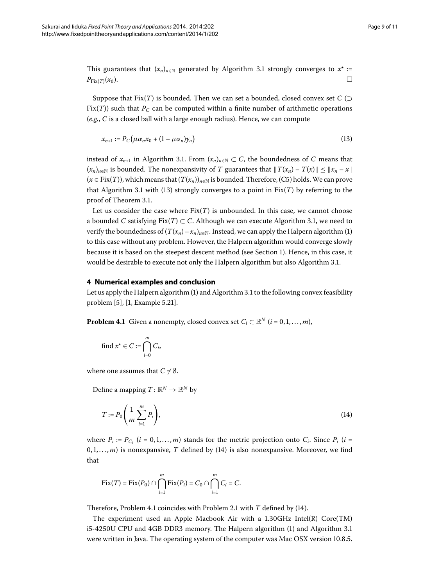This guarantees that  $(x_n)_{n \in \mathbb{N}}$  generated by Algorithm 3[.](#page-3-1)1 strongly converges to  $x^* :=$  $P_{\text{Fix}(T)}(x_0).$ 

Suppose that Fix(*T*) is bounded. Then we can set a bounded, closed convex set  $C$  ( $\supset$ Fix(*T*)) such that  $P_C$  can be computed within a finite number of arithmetic operations (*e.g.*, *C* is a closed ball with a large enough radius). Hence, we can compute

<span id="page-8-1"></span>
$$
x_{n+1} := P_C(\mu \alpha_n x_0 + (1 - \mu \alpha_n) y_n)
$$
\n<sup>(13)</sup>

instead of  $x_{n+1}$  in Algorithm 3.1. From  $(x_n)_{n\in\mathbb{N}} \subset C$ , the boundedness of *C* means that  $(x_n)_{n \in \mathbb{N}}$  is bounded. The nonexpansivity of *T* guarantees that  $||T(x_n) - T(x)|| \le ||x_n - x||$  $(x \in Fix(T))$ , which means that  $(T(x_n))_{n \in \mathbb{N}}$  is bounded. Therefore, (C5) holds. We can prove that Algorithm 3[.](#page-3-1)1 with (13) strongly converges to a point in  $Fix(T)$  by referring to the proof of Theorem 3.1.

<span id="page-8-0"></span>Let us consider the case where  $Fix(T)$  is unbounded. In this case, we cannot choose a bounded *C* satisfying  $Fix(T) \subset C$ . Although we can execute Algorithm 3.1, we need to verify the boundedness of  $(T(x_n) - x_n)_{n \in \mathbb{N}}$ . Instead, we can apply the Halpern algorithm (1) to this case without any problem. However, the Halpern algorithm would converge slowly because it is based on the steepest descent method (see Section [\)](#page-0-1). Hence, in this case, it would be desirable to execute not only the Halpern algorithm but also Algorithm 3[.](#page-3-1)1.

#### <span id="page-8-3"></span>**4 Numerical examples and conclusion**

Let us apply the Halpern algorithm [\(](#page-2-0)1) and Algorithm 3[.](#page-3-1)1 to the following convex feasibility problem  $[5]$  $[5]$ ,  $[1,$  Example 5.21].

**Problem 4.1** Given a nonempty, closed convex set  $C_i \subset \mathbb{R}^N$  (*i* = 0, 1, ..., *m*),

<span id="page-8-2"></span>find 
$$
x^* \in C := \bigcap_{i=0}^m C_i
$$
,

where one assumes that  $C \neq \emptyset$ .

Define a mapping  $T: \mathbb{R}^N \to \mathbb{R}^N$  by

$$
T := P_0 \left( \frac{1}{m} \sum_{i=1}^{m} P_i \right),\tag{14}
$$

where  $P_i := P_{C_i}$  ( $i = 0, 1, ..., m$ ) stands for the metric projection onto  $C_i$ . Since  $P_i$  ( $i =$  $(0, 1, \ldots, m)$  $(0, 1, \ldots, m)$  is nonexpansive, *T* defined by (14) is also nonexpansive. Moreover, we find that

$$
Fix(T) = Fix(P_0) \cap \bigcap_{i=1}^m Fix(P_i) = C_0 \cap \bigcap_{i=1}^m C_i = C.
$$

Therefore, Problem 4[.](#page-2-1)1 coincides with Problem 2.1 with *T* defined by [\(](#page-8-2)14).

The experiment used an Apple Macbook Air with a  $1.30\text{GHz}$  Intel(R) Core(TM) i5-4250U CPU and 4GB DDR3 memory. The Halpern algorithm (1[\)](#page-2-0) and Algorithm 3[.](#page-3-1)1 were written in Java. The operating system of the computer was Mac OSX version 10.8.5.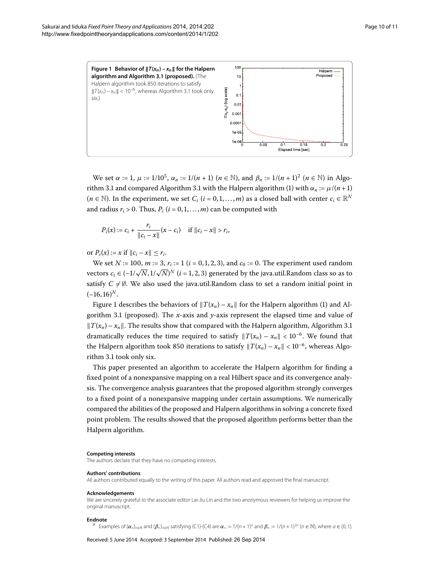<span id="page-9-1"></span>

We set *α* := 1, *μ* :=  $1/10^5$ , *α<sub>n</sub>* :=  $1/(n + 1)$  (*n* ∈ N), and  $β_n$  :=  $1/(n + 1)^2$  (*n* ∈ N) in Algo-rithm 3[.](#page-3-1)1 and compared Algorithm 3.1 with the Halpern algorithm (1[\)](#page-2-0) with  $\alpha_n := \mu/(n+1)$  $(n \in \mathbb{N})$ . In the experiment, we set  $C_i$  ( $i = 0, 1, ..., m$ ) as a closed ball with center  $c_i \in \mathbb{R}^N$ and radius  $r_i > 0$ . Thus,  $P_i$  ( $i = 0, 1, ..., m$ ) can be computed with

$$
P_i(x) := c_i + \frac{r_i}{\|c_i - x\|} (x - c_i) \quad \text{if } \|c_i - x\| > r_i,
$$

or  $P_i(x) := x$  if  $||c_i - x|| \leq r_i$ .

We set *N* := 100, *m* := 3,  $r_i$  := 1 (*i* = 0, 1, 2, 3), and  $c_0$  := 0. The experiment used random vectors  $c_i \in (-1/\sqrt{N}, 1/\sqrt{N})^N$   $(i = 1, 2, 3)$  generated by the java.util.Random class so as to satisfy  $C \neq \emptyset$ . We also used the java.util.Random class to set a random initial point in  $(-16, 16)^N$ .

Figure 1 describes the behaviors of  $||T(x_n) - x_n||$  $||T(x_n) - x_n||$  $||T(x_n) - x_n||$  for the Halpern algorithm (1) and Al-gorithm 3[.](#page-3-1)1 (proposed). The *x*-axis and *y*-axis represent the elapsed time and value of  $||T(x_n) - x_n||$ [.](#page-3-1) The results show that compared with the Halpern algorithm, Algorithm 3.1 dramatically reduces the time required to satisfy  $||T(x_n) - x_n|| < 10^{-6}$ . We found that the Halpern algorithm took 850 iterations to satisfy  $||T(x_n) - x_n|| < 10^{-6}$ , whereas Algo-rithm 3[.](#page-3-1)1 took only six.

This paper presented an algorithm to accelerate the Halpern algorithm for finding a fixed point of a nonexpansive mapping on a real Hilbert space and its convergence analysis. The convergence analysis guarantees that the proposed algorithm strongly converges to a fixed point of a nonexpansive mapping under certain assumptions. We numerically compared the abilities of the proposed and Halpern algorithms in solving a concrete fixed point problem. The results showed that the proposed algorithm performs better than the Halpern algorithm.

#### <span id="page-9-0"></span>**Competing interests**

The authors declare that they have no competing interests.

#### **Authors' contributions**

All authors contributed equally to the writing of this paper. All authors read and approved the final manuscript.

#### **Acknowledgements**

We are sincerely grateful to the associate editor Lai-Jiu Lin and the two anonymous reviewers for helping us improve the original manuscript.

**Endnote**<br><sup>a</sup> Examples of  $(\alpha_n)_{n\in\mathbb{N}}$  and  $(\beta_n)_{n\in\mathbb{N}}$  satisfying (C1)-(C4) are  $\alpha_n := 1/(n+1)^a$  and  $\beta_n := 1/(n+1)^{2a}$  ( $n \in \mathbb{N}$ ), where  $a \in (0, 1]$ .

Received: 5 June 2014 Accepted: 3 September 2014 Published: 26 Sep 2014